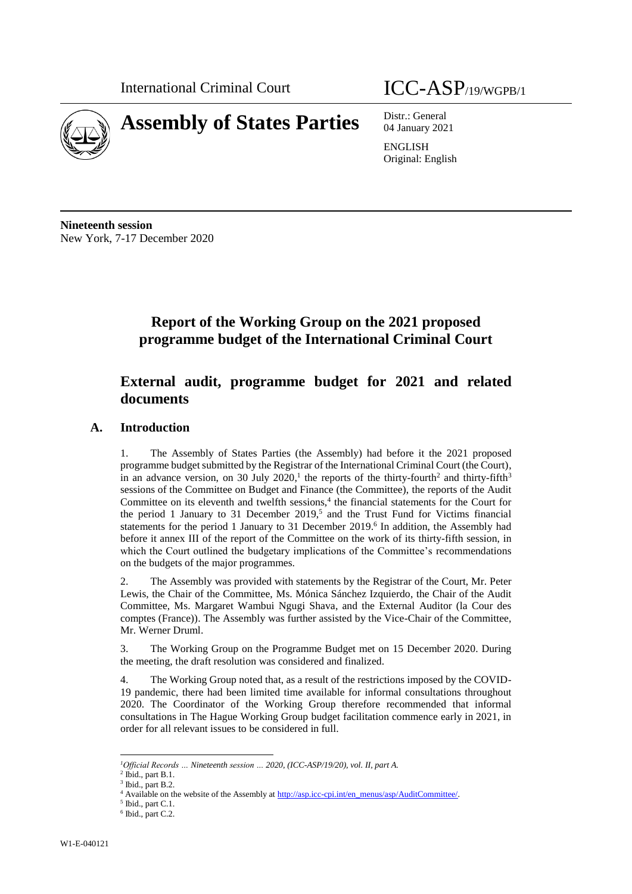

04 January 2021

ENGLISH Original: English

**Nineteenth session** New York, 7-17 December 2020

# **Report of the Working Group on the 2021 proposed programme budget of the International Criminal Court**

# **External audit, programme budget for 2021 and related documents**

## **A. Introduction**

1. The Assembly of States Parties (the Assembly) had before it the 2021 proposed programme budget submitted by the Registrar of the International Criminal Court (the Court), in an advance version, on 30 July 2020,<sup>1</sup> the reports of the thirty-fourth<sup>2</sup> and thirty-fifth<sup>3</sup> sessions of the Committee on Budget and Finance (the Committee), the reports of the Audit Committee on its eleventh and twelfth sessions, $4$  the financial statements for the Court for the period 1 January to 31 December 2019, 5 and the Trust Fund for Victims financial statements for the period 1 January to 31 December 2019.<sup>6</sup> In addition, the Assembly had before it annex III of the report of the Committee on the work of its thirty-fifth session, in which the Court outlined the budgetary implications of the Committee's recommendations on the budgets of the major programmes.

2. The Assembly was provided with statements by the Registrar of the Court, Mr. Peter Lewis, the Chair of the Committee, Ms. Mónica Sánchez Izquierdo, the Chair of the Audit Committee, Ms. Margaret Wambui Ngugi Shava, and the External Auditor (la Cour des comptes (France)). The Assembly was further assisted by the Vice-Chair of the Committee, Mr. Werner Druml.

3. The Working Group on the Programme Budget met on 15 December 2020. During the meeting, the draft resolution was considered and finalized.

4. The Working Group noted that, as a result of the restrictions imposed by the COVID-19 pandemic, there had been limited time available for informal consultations throughout 2020. The Coordinator of the Working Group therefore recommended that informal consultations in The Hague Working Group budget facilitation commence early in 2021, in order for all relevant issues to be considered in full.

l

*<sup>1</sup>Official Records … Nineteenth session … 2020, (ICC-ASP/19/20), vol. II, part A.*

 $<sup>2</sup>$  Ibid., part B.1.</sup>

 $3$  Ibid., part B.2.

<sup>&</sup>lt;sup>4</sup> Available on the website of the Assembly at [http://asp.icc-cpi.int/en\\_menus/asp/AuditCommittee/.](http://asp.icc-cpi.int/en_menus/asp/AuditCommittee/)

 $<sup>5</sup>$  Ibid., part C.1.</sup>

 $6$  Ibid., part C.2.